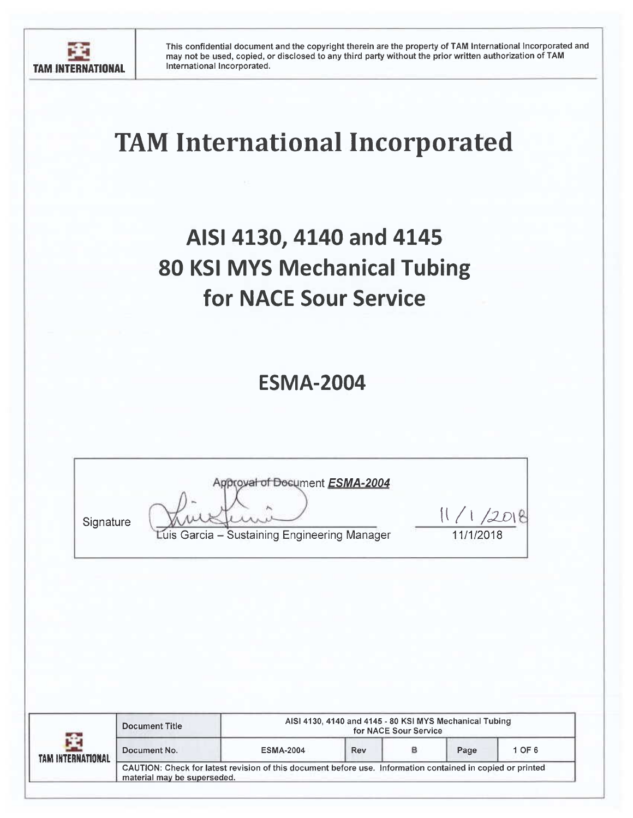

# **TAM International Incorporated**

## AISI 4130, 4140 and 4145 **80 KSI MYS Mechanical Tubing** for NACE Sour Service

### **ESMA-2004**

| Signature | roval of Document ESMA-2004<br>Luis Garcia - Sustaining Engineering Manager | 11/1/2018 |
|-----------|-----------------------------------------------------------------------------|-----------|
|-----------|-----------------------------------------------------------------------------|-----------|

| ÷.<br>TAM INTERNATIONAL | <b>Document Title</b>                                                                                                                     | AISI 4130, 4140 and 4145 - 80 KSI MYS Mechanical Tubing<br>for NACE Sour Service |     |  |      |        |  |  |
|-------------------------|-------------------------------------------------------------------------------------------------------------------------------------------|----------------------------------------------------------------------------------|-----|--|------|--------|--|--|
|                         | Document No.                                                                                                                              | <b>ESMA-2004</b>                                                                 | Rev |  | Page | 1 OF 6 |  |  |
|                         | CAUTION: Check for latest revision of this document before use. Information contained in copied or printed<br>material may be superseded. |                                                                                  |     |  |      |        |  |  |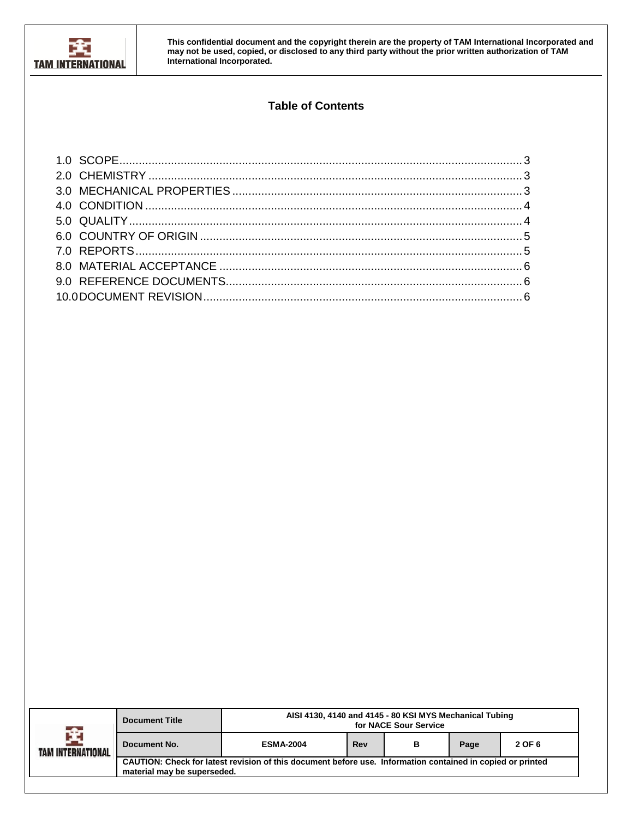

#### **Table of Contents**

| -Ar<br><b>TAM INTERNATIONAL</b> | <b>Document Title</b>                                                                                                                     | AISI 4130, 4140 and 4145 - 80 KSI MYS Mechanical Tubing<br>for NACE Sour Service |     |   |      |        |  |
|---------------------------------|-------------------------------------------------------------------------------------------------------------------------------------------|----------------------------------------------------------------------------------|-----|---|------|--------|--|
|                                 | Document No.                                                                                                                              | <b>ESMA-2004</b>                                                                 | Rev | в | Page | 2 OF 6 |  |
|                                 | CAUTION: Check for latest revision of this document before use. Information contained in copied or printed<br>material may be superseded. |                                                                                  |     |   |      |        |  |
|                                 |                                                                                                                                           |                                                                                  |     |   |      |        |  |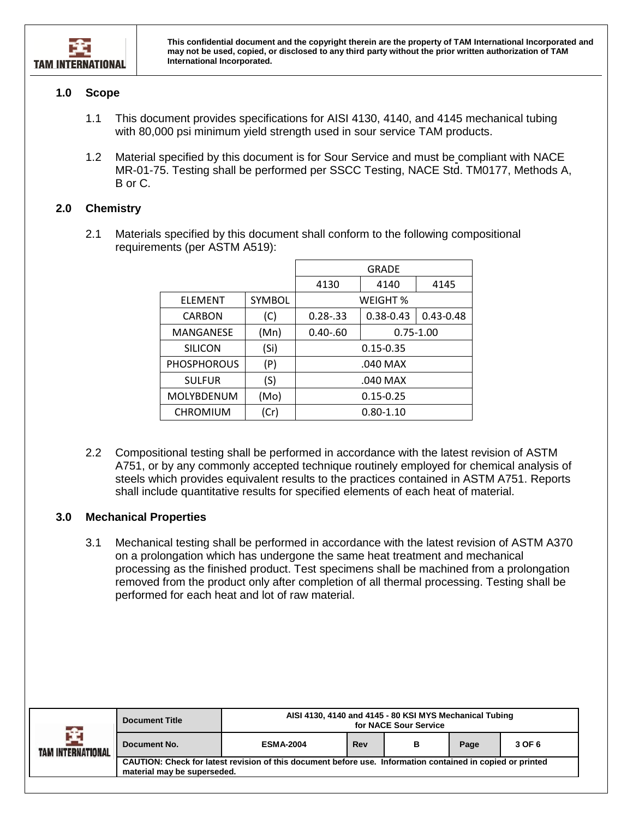

#### <span id="page-2-0"></span>**1.0 Scope**

- 1.1 This document provides specifications for AISI 4130, 4140, and 4145 mechanical tubing with 80,000 psi minimum yield strength used in sour service TAM products.
- 1.2 Material specified by this document is for Sour Service and must be compliant with NACE MR-01-75. Testing shall be performed per SSCC Testing, NACE Std. TM0177, Methods A, B or C.

#### <span id="page-2-1"></span>**2.0 Chemistry**

2.1 Materials specified by this document shall conform to the following compositional requirements (per ASTM A519):

|                    |        |               | <b>GRADE</b>  |               |  |
|--------------------|--------|---------------|---------------|---------------|--|
|                    |        | 4130          | 4140          | 4145          |  |
| <b>ELEMENT</b>     | SYMBOL | WEIGHT %      |               |               |  |
| <b>CARBON</b>      | (C)    | $0.28 - 33$   | $0.38 - 0.43$ | $0.43 - 0.48$ |  |
| MANGANESE          | (Mn)   | $0.40 - 60$   | $0.75 - 1.00$ |               |  |
| <b>SILICON</b>     | (Si)   | $0.15 - 0.35$ |               |               |  |
| <b>PHOSPHOROUS</b> | (P)    | .040 MAX      |               |               |  |
| <b>SULFUR</b>      | (S)    | .040 MAX      |               |               |  |
| <b>MOLYBDENUM</b>  | (Mo)   | $0.15 - 0.25$ |               |               |  |
| <b>CHROMIUM</b>    | (Cr)   |               | $0.80 - 1.10$ |               |  |

2.2 Compositional testing shall be performed in accordance with the latest revision of ASTM A751, or by any commonly accepted technique routinely employed for chemical analysis of steels which provides equivalent results to the practices contained in ASTM A751. Reports shall include quantitative results for specified elements of each heat of material.

#### <span id="page-2-2"></span>**3.0 Mechanical Properties**

3.1 Mechanical testing shall be performed in accordance with the latest revision of ASTM A370 on a prolongation which has undergone the same heat treatment and mechanical processing as the finished product. Test specimens shall be machined from a prolongation removed from the product only after completion of all thermal processing. Testing shall be performed for each heat and lot of raw material.

| 全<br>TAM INTERNATIONAL | <b>Document Title</b>       | AISI 4130, 4140 and 4145 - 80 KSI MYS Mechanical Tubing<br>for NACE Sour Service                           |     |   |      |        |  |
|------------------------|-----------------------------|------------------------------------------------------------------------------------------------------------|-----|---|------|--------|--|
|                        | Document No.                | <b>ESMA-2004</b>                                                                                           | Rev | в | Page | 3 OF 6 |  |
|                        | material may be superseded. | CAUTION: Check for latest revision of this document before use. Information contained in copied or printed |     |   |      |        |  |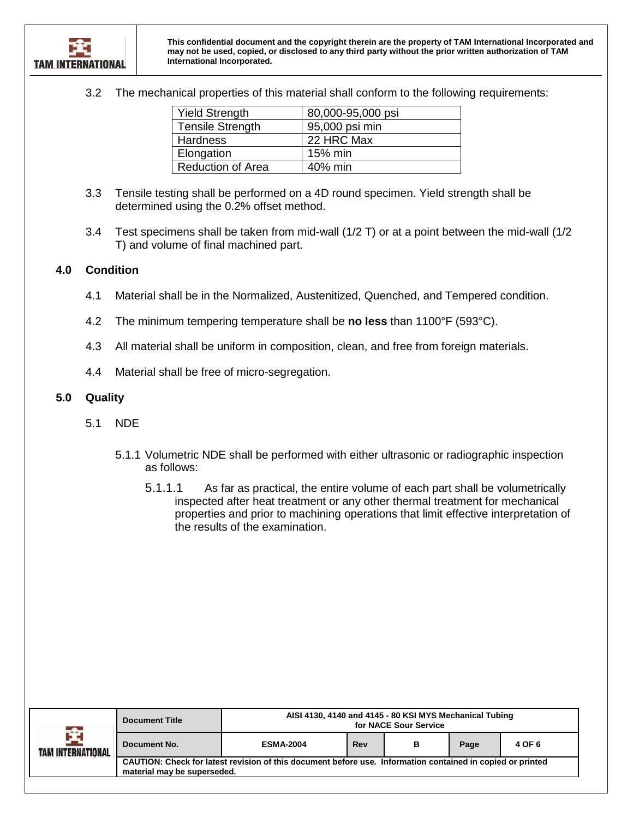3.2 The mechanical properties of this material shall conform to the following requirements:

| <b>Yield Strength</b>    | 80,000-95,000 psi |
|--------------------------|-------------------|
| <b>Tensile Strength</b>  | 95,000 psi min    |
| <b>Hardness</b>          | 22 HRC Max        |
| Elongation               | 15% min           |
| <b>Reduction of Area</b> | 40% min           |

- 3.3 Tensile testing shall be performed on a 4D round specimen. Yield strength shall be determined using the 0.2% offset method.
- 3.4 Test specimens shall be taken from mid-wall (1/2 T) or at a point between the mid-wall (1/2 T) and volume of final machined part.

#### <span id="page-3-0"></span>**4.0 Condition**

- 4.1 Material shall be in the Normalized, Austenitized, Quenched, and Tempered condition.
- 4.2 The minimum tempering temperature shall be **no less** than 1100°F (593°C).
- 4.3 All material shall be uniform in composition, clean, and free from foreign materials.
- 4.4 Material shall be free of micro-segregation.

#### <span id="page-3-1"></span>**5.0 Quality**

- 5.1 NDE
	- 5.1.1 Volumetric NDE shall be performed with either ultrasonic or radiographic inspection as follows:
		- 5.1.1.1 As far as practical, the entire volume of each part shall be volumetrically inspected after heat treatment or any other thermal treatment for mechanical properties and prior to machining operations that limit effective interpretation of the results of the examination.

| a Bar             | <b>Document Title</b>                                                                                                                     | AISI 4130, 4140 and 4145 - 80 KSI MYS Mechanical Tubing<br>for NACE Sour Service |     |   |      |        |  |
|-------------------|-------------------------------------------------------------------------------------------------------------------------------------------|----------------------------------------------------------------------------------|-----|---|------|--------|--|
| TAM INTERNATIONAL | Document No.                                                                                                                              | <b>ESMA-2004</b>                                                                 | Rev | в | Page | 4 OF 6 |  |
|                   | CAUTION: Check for latest revision of this document before use. Information contained in copied or printed<br>material may be superseded. |                                                                                  |     |   |      |        |  |
|                   |                                                                                                                                           |                                                                                  |     |   |      |        |  |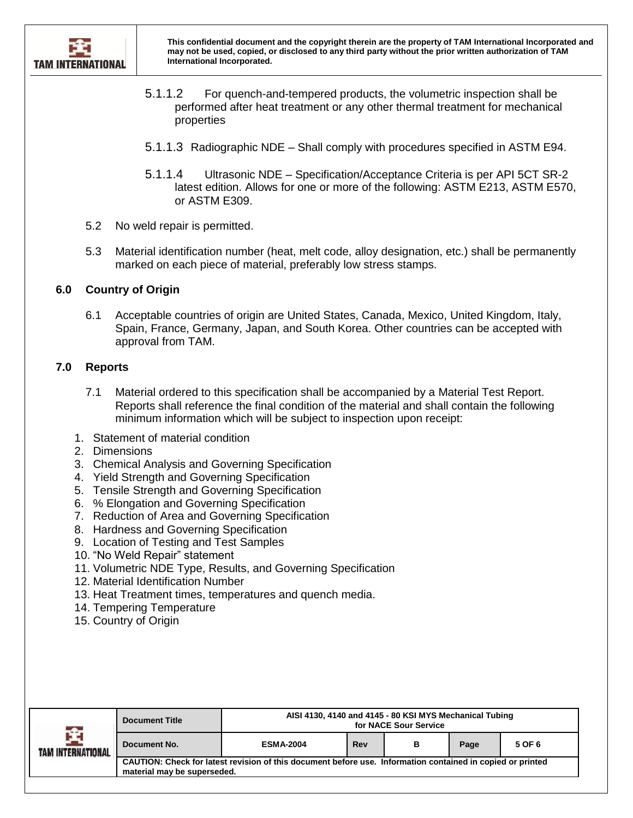

- 5.1.1.2 For quench-and-tempered products, the volumetric inspection shall be performed after heat treatment or any other thermal treatment for mechanical properties
- 5.1.1.3 Radiographic NDE Shall comply with procedures specified in ASTM E94.
- 5.1.1.4 Ultrasonic NDE Specification/Acceptance Criteria is per API 5CT SR-2 latest edition. Allows for one or more of the following: ASTM E213, ASTM E570, or ASTM E309.
- 5.2 No weld repair is permitted.
- 5.3 Material identification number (heat, melt code, alloy designation, etc.) shall be permanently marked on each piece of material, preferably low stress stamps.

#### <span id="page-4-0"></span>**6.0 Country of Origin**

6.1 Acceptable countries of origin are United States, Canada, Mexico, United Kingdom, Italy, Spain, France, Germany, Japan, and South Korea. Other countries can be accepted with approval from TAM.

#### <span id="page-4-1"></span>**7.0 Reports**

- 7.1 Material ordered to this specification shall be accompanied by a Material Test Report. Reports shall reference the final condition of the material and shall contain the following minimum information which will be subject to inspection upon receipt:
- 1. Statement of material condition
- 2. Dimensions
- 3. Chemical Analysis and Governing Specification
- 4. Yield Strength and Governing Specification
- 5. Tensile Strength and Governing Specification
- 6. % Elongation and Governing Specification
- 7. Reduction of Area and Governing Specification
- 8. Hardness and Governing Specification
- 9. Location of Testing and Test Samples
- 10. "No Weld Repair" statement
- 11. Volumetric NDE Type, Results, and Governing Specification
- 12. Material Identification Number
- 13. Heat Treatment times, temperatures and quench media.
- 14. Tempering Temperature
- 15. Country of Origin

| <b>Table</b><br>TAM INTERNATIONAL | <b>Document Title</b>                                                                                                                     | AISI 4130, 4140 and 4145 - 80 KSI MYS Mechanical Tubing<br>for NACE Sour Service |     |   |      |        |  |
|-----------------------------------|-------------------------------------------------------------------------------------------------------------------------------------------|----------------------------------------------------------------------------------|-----|---|------|--------|--|
|                                   | Document No.                                                                                                                              | <b>ESMA-2004</b>                                                                 | Rev | в | Page | 5 OF 6 |  |
|                                   | CAUTION: Check for latest revision of this document before use. Information contained in copied or printed<br>material may be superseded. |                                                                                  |     |   |      |        |  |
|                                   |                                                                                                                                           |                                                                                  |     |   |      |        |  |